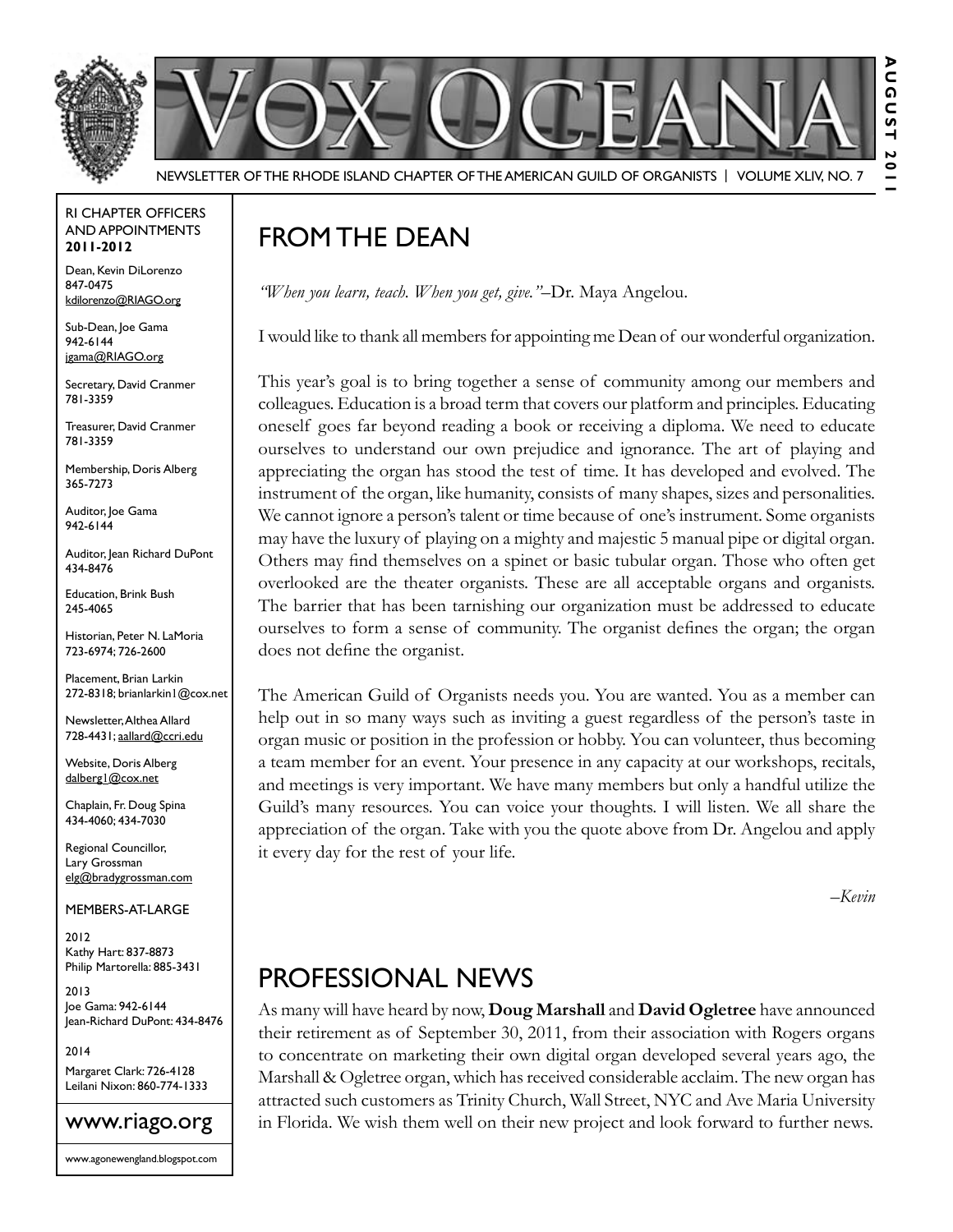

#### RI Chapter Officers and Appointments **2011-2012**

Dean, Kevin DiLorenzo 847-0475 kdilorenzo@RIAGO.org

Sub-Dean, Joe Gama 942-6144 jgama@RIAGO.org

Secretary, David Cranmer 781-3359

Treasurer, David Cranmer 781-3359

Membership, Doris Alberg 365-7273

Auditor, Joe Gama 942-6144

Auditor, Jean Richard DuPont 434-8476

Education, Brink Bush 245-4065

Historian, Peter N. LaMoria 723-6974; 726-2600

Placement, Brian Larkin 272-8318; brianlarkin1@cox.net

Newsletter, Althea Allard 728-4431; aallard@ccri.edu

Website, Doris Alberg dalberg1@cox.net

Chaplain, Fr. Doug Spina 434-4060; 434-7030

Regional Councillor, Lary Grossman elg@bradygrossman.com

Members-at-Large

2012 Kathy Hart: 837-8873 Philip Martorella: 885-3431

2013 Joe Gama: 942-6144 Jean-Richard DuPont: 434-8476

2014 Margaret Clark: 726-4128 Leilani Nixon: 860-774-1333



## FROM THE DEAN

*"When you learn, teach. When you get, give."*–Dr. Maya Angelou.

I would like to thank all members for appointing me Dean of our wonderful organization.

This year's goal is to bring together a sense of community among our members and colleagues. Education is a broad term that covers our platform and principles. Educating oneself goes far beyond reading a book or receiving a diploma. We need to educate ourselves to understand our own prejudice and ignorance. The art of playing and appreciating the organ has stood the test of time. It has developed and evolved. The instrument of the organ, like humanity, consists of many shapes, sizes and personalities. We cannot ignore a person's talent or time because of one's instrument. Some organists may have the luxury of playing on a mighty and majestic 5 manual pipe or digital organ. Others may find themselves on a spinet or basic tubular organ. Those who often get overlooked are the theater organists. These are all acceptable organs and organists. The barrier that has been tarnishing our organization must be addressed to educate ourselves to form a sense of community. The organist defines the organ; the organ does not define the organist.

The American Guild of Organists needs you. You are wanted. You as a member can help out in so many ways such as inviting a guest regardless of the person's taste in organ music or position in the profession or hobby. You can volunteer, thus becoming a team member for an event. Your presence in any capacity at our workshops, recitals, and meetings is very important. We have many members but only a handful utilize the Guild's many resources. You can voice your thoughts. I will listen. We all share the appreciation of the organ. Take with you the quote above from Dr. Angelou and apply it every day for the rest of your life.

*–Kevin*

### Professional News

As many will have heard by now, **Doug Marshall** and **David Ogletree** have announced their retirement as of September 30, 2011, from their association with Rogers organs to concentrate on marketing their own digital organ developed several years ago, the Marshall & Ogletree organ, which has received considerable acclaim. The new organ has attracted such customers as Trinity Church, Wall Street, NYC and Ave Maria University in Florida. We wish them well on their new project and look forward to further news.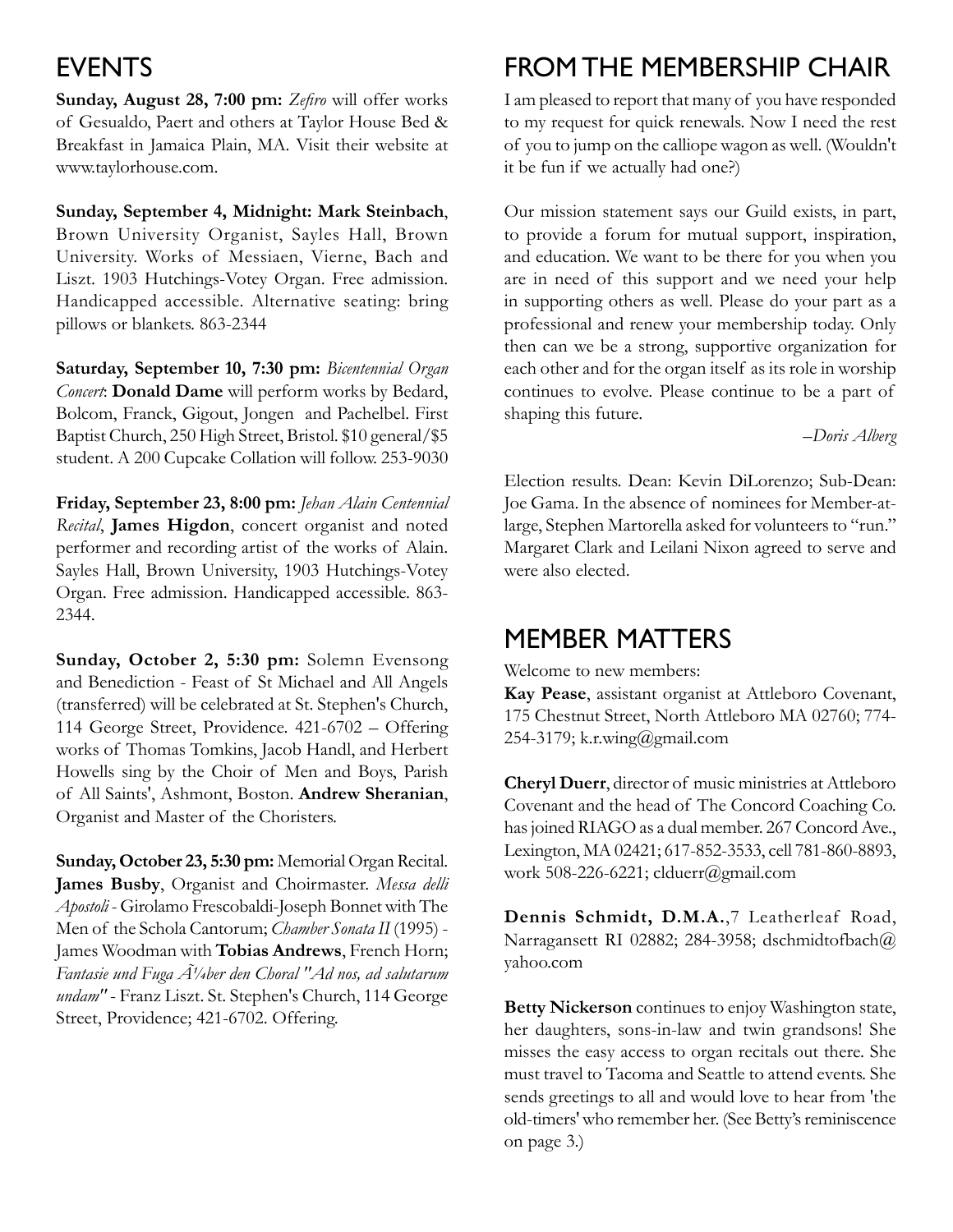#### **EVENTS**

**Sunday, August 28, 7:00 pm:** *Zefiro* will offer works of Gesualdo, Paert and others at Taylor House Bed & Breakfast in Jamaica Plain, MA. Visit their website at www.taylorhouse.com.

**Sunday, September 4, Midnight: Mark Steinbach**, Brown University Organist, Sayles Hall, Brown University. Works of Messiaen, Vierne, Bach and Liszt. 1903 Hutchings-Votey Organ. Free admission. Handicapped accessible. Alternative seating: bring pillows or blankets. 863-2344

**Saturday, September 10, 7:30 pm:** *Bicentennial Organ Concert*: **Donald Dame** will perform works by Bedard, Bolcom, Franck, Gigout, Jongen and Pachelbel. First Baptist Church, 250 High Street, Bristol. \$10 general/\$5 student. A 200 Cupcake Collation will follow. 253-9030

**Friday, September 23, 8:00 pm:** *Jehan Alain Centennial Recital*, **James Higdon**, concert organist and noted performer and recording artist of the works of Alain. Sayles Hall, Brown University, 1903 Hutchings-Votey Organ. Free admission. Handicapped accessible. 863- 2344.

**Sunday, October 2, 5:30 pm:** Solemn Evensong and Benediction - Feast of St Michael and All Angels (transferred) will be celebrated at St. Stephen's Church, 114 George Street, Providence. 421-6702 – Offering works of Thomas Tomkins, Jacob Handl, and Herbert Howells sing by the Choir of Men and Boys, Parish of All Saints', Ashmont, Boston. **Andrew Sheranian**, Organist and Master of the Choristers.

**Sunday, October 23, 5:30 pm:** Memorial Organ Recital. **James Busby**, Organist and Choirmaster. *Messa delli Apostoli* - Girolamo Frescobaldi-Joseph Bonnet with The Men of the Schola Cantorum; *Chamber Sonata II* (1995) - James Woodman with **Tobias Andrews**, French Horn; *Fantasie und Fuga*  $\tilde{A}$ *'/4ber den Choral "Ad nos, ad salutarum undam"* - Franz Liszt. St. Stephen's Church, 114 George Street, Providence; 421-6702. Offering.

# From the Membership Chair

I am pleased to report that many of you have responded to my request for quick renewals. Now I need the rest of you to jump on the calliope wagon as well. (Wouldn't it be fun if we actually had one?)

Our mission statement says our Guild exists, in part, to provide a forum for mutual support, inspiration, and education. We want to be there for you when you are in need of this support and we need your help in supporting others as well. Please do your part as a professional and renew your membership today. Only then can we be a strong, supportive organization for each other and for the organ itself as its role in worship continues to evolve. Please continue to be a part of shaping this future.

*–Doris Alberg*

Election results. Dean: Kevin DiLorenzo; Sub-Dean: Joe Gama. In the absence of nominees for Member-atlarge, Stephen Martorella asked for volunteers to "run." Margaret Clark and Leilani Nixon agreed to serve and were also elected.

#### Member Matters

Welcome to new members:

**Kay Pease**, assistant organist at Attleboro Covenant, 175 Chestnut Street, North Attleboro MA 02760; 774- 254-3179; k.r.wing@gmail.com

**Cheryl Duerr**, director of music ministries at Attleboro Covenant and the head of The Concord Coaching Co. has joined RIAGO as a dual member. 267 Concord Ave., Lexington, MA 02421; 617-852-3533, cell 781-860-8893, work 508-226-6221; clduerr@gmail.com

**Dennis Schmidt, D.M.A.**,7 Leatherleaf Road, Narragansett RI 02882; 284-3958; dschmidtofbach@ yahoo.com

**Betty Nickerson** continues to enjoy Washington state, her daughters, sons-in-law and twin grandsons! She misses the easy access to organ recitals out there. She must travel to Tacoma and Seattle to attend events. She sends greetings to all and would love to hear from 'the old-timers' who remember her. (See Betty's reminiscence on page 3.)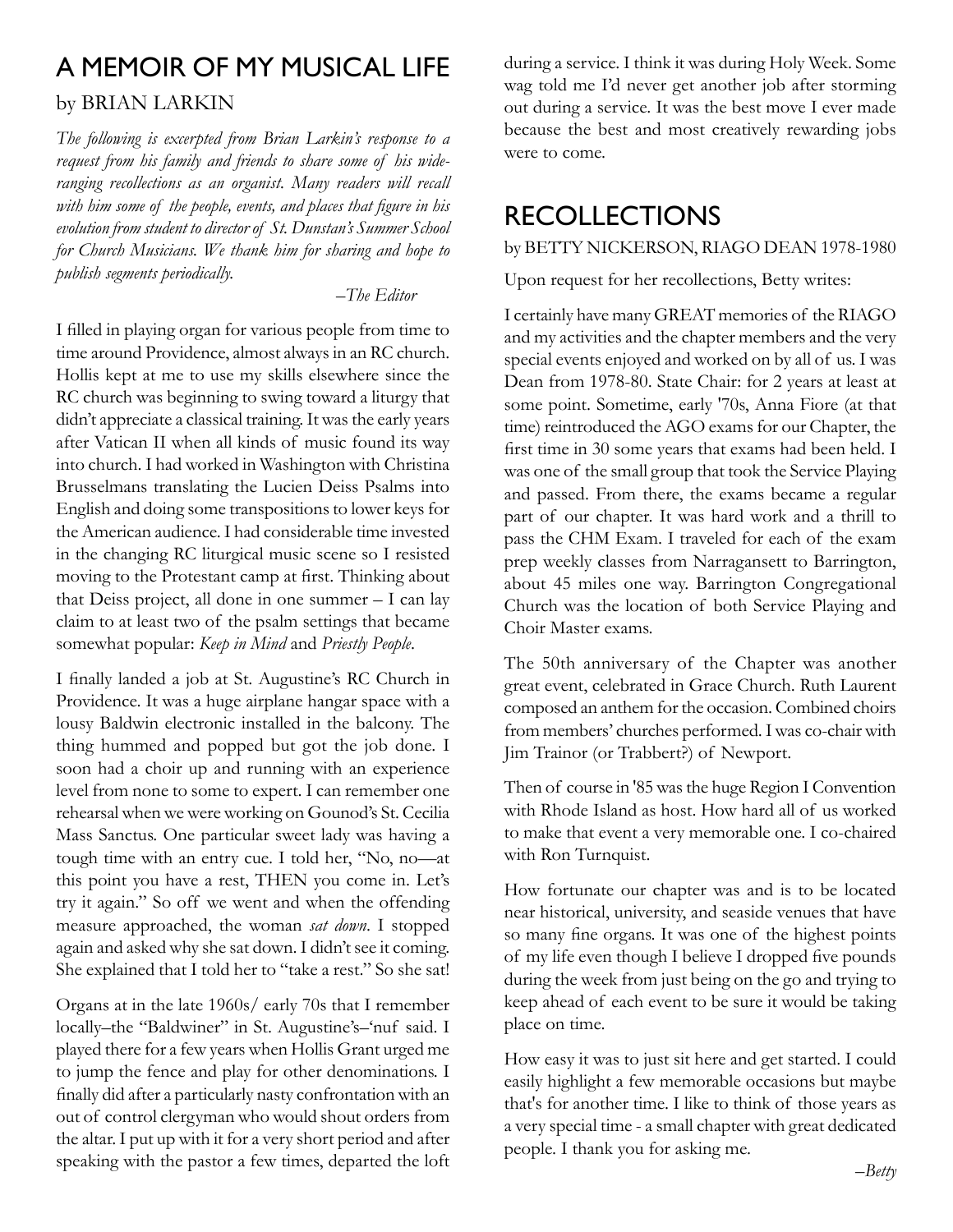# A Memoir of My Musical Life

#### by BRIAN LARKIN

*The following is excerpted from Brian Larkin's response to a request from his family and friends to share some of his wideranging recollections as an organist. Many readers will recall with him some of the people, events, and places that figure in his evolution from student to director of St. Dunstan's Summer School for Church Musicians. We thank him for sharing and hope to publish segments periodically.*

*–The Editor* 

I filled in playing organ for various people from time to time around Providence, almost always in an RC church. Hollis kept at me to use my skills elsewhere since the RC church was beginning to swing toward a liturgy that didn't appreciate a classical training. It was the early years after Vatican II when all kinds of music found its way into church. I had worked in Washington with Christina Brusselmans translating the Lucien Deiss Psalms into English and doing some transpositions to lower keys for the American audience. I had considerable time invested in the changing RC liturgical music scene so I resisted moving to the Protestant camp at first. Thinking about that Deiss project, all done in one summer – I can lay claim to at least two of the psalm settings that became somewhat popular: *Keep in Mind* and *Priestly People*.

I finally landed a job at St. Augustine's RC Church in Providence. It was a huge airplane hangar space with a lousy Baldwin electronic installed in the balcony. The thing hummed and popped but got the job done. I soon had a choir up and running with an experience level from none to some to expert. I can remember one rehearsal when we were working on Gounod's St. Cecilia Mass Sanctus. One particular sweet lady was having a tough time with an entry cue. I told her, "No, no—at this point you have a rest, THEN you come in. Let's try it again." So off we went and when the offending measure approached, the woman *sat down*. I stopped again and asked why she sat down. I didn't see it coming. She explained that I told her to "take a rest." So she sat!

Organs at in the late 1960s/ early 70s that I remember locally–the "Baldwiner" in St. Augustine's–'nuf said. I played there for a few years when Hollis Grant urged me to jump the fence and play for other denominations. I finally did after a particularly nasty confrontation with an out of control clergyman who would shout orders from the altar. I put up with it for a very short period and after speaking with the pastor a few times, departed the loft

during a service. I think it was during Holy Week. Some wag told me I'd never get another job after storming out during a service. It was the best move I ever made because the best and most creatively rewarding jobs were to come.

# Recollections

by BETTY NICKERSON, RIAGO DEAN 1978-1980

Upon request for her recollections, Betty writes:

I certainly have many GREAT memories of the RIAGO and my activities and the chapter members and the very special events enjoyed and worked on by all of us. I was Dean from 1978-80. State Chair: for 2 years at least at some point. Sometime, early '70s, Anna Fiore (at that time) reintroduced the AGO exams for our Chapter, the first time in 30 some years that exams had been held. I was one of the small group that took the Service Playing and passed. From there, the exams became a regular part of our chapter. It was hard work and a thrill to pass the CHM Exam. I traveled for each of the exam prep weekly classes from Narragansett to Barrington, about 45 miles one way. Barrington Congregational Church was the location of both Service Playing and Choir Master exams.

The 50th anniversary of the Chapter was another great event, celebrated in Grace Church. Ruth Laurent composed an anthem for the occasion. Combined choirs from members' churches performed. I was co-chair with Jim Trainor (or Trabbert?) of Newport.

Then of course in '85 was the huge Region I Convention with Rhode Island as host. How hard all of us worked to make that event a very memorable one. I co-chaired with Ron Turnquist.

How fortunate our chapter was and is to be located near historical, university, and seaside venues that have so many fine organs. It was one of the highest points of my life even though I believe I dropped five pounds during the week from just being on the go and trying to keep ahead of each event to be sure it would be taking place on time.

How easy it was to just sit here and get started. I could easily highlight a few memorable occasions but maybe that's for another time. I like to think of those years as a very special time - a small chapter with great dedicated people. I thank you for asking me.